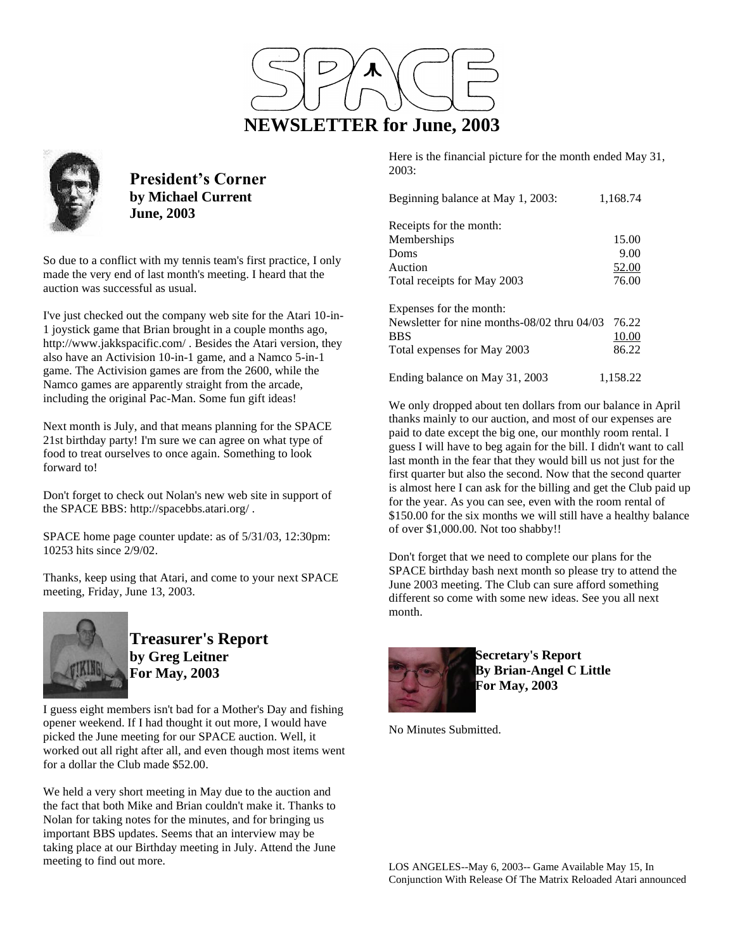

Here is the financial picture for the month ended May 31, 2003:

| Beginning balance at May 1, 2003:           | 1,168.74 |
|---------------------------------------------|----------|
| Receipts for the month:                     |          |
| Memberships                                 | 15.00    |
| Doms                                        | 9.00     |
| Auction                                     | 52.00    |
| Total receipts for May 2003                 | 76.00    |
| Expenses for the month:                     |          |
| Newsletter for nine months-08/02 thru 04/03 | 76.22    |
| <b>BBS</b>                                  | 10.00    |
| Total expenses for May 2003                 | 86.22    |
| Ending balance on May 31, 2003              | 1,158.22 |

We only dropped about ten dollars from our balance in April thanks mainly to our auction, and most of our expenses are paid to date except the big one, our monthly room rental. I guess I will have to beg again for the bill. I didn't want to call last month in the fear that they would bill us not just for the first quarter but also the second. Now that the second quarter is almost here I can ask for the billing and get the Club paid up for the year. As you can see, even with the room rental of \$150.00 for the six months we will still have a healthy balance of over \$1,000.00. Not too shabby!!

Don't forget that we need to complete our plans for the SPACE birthday bash next month so please try to attend the June 2003 meeting. The Club can sure afford something different so come with some new ideas. See you all next month.



**Secretary's Report By Brian-Angel C Little For May, 2003**

No Minutes Submitted.



**President's Corner by Michael Current June, 2003**

So due to a conflict with my tennis team's first practice, I only made the very end of last month's meeting. I heard that the auction was successful as usual.

I've just checked out the company web site for the Atari 10-in-1 joystick game that Brian brought in a couple months ago, http://www.jakkspacific.com/ . Besides the Atari version, they also have an Activision 10-in-1 game, and a Namco 5-in-1 game. The Activision games are from the 2600, while the Namco games are apparently straight from the arcade, including the original Pac-Man. Some fun gift ideas!

Next month is July, and that means planning for the SPACE 21st birthday party! I'm sure we can agree on what type of food to treat ourselves to once again. Something to look forward to!

Don't forget to check out Nolan's new web site in support of the SPACE BBS: http://spacebbs.atari.org/ .

SPACE home page counter update: as of 5/31/03, 12:30pm: 10253 hits since 2/9/02.

Thanks, keep using that Atari, and come to your next SPACE meeting, Friday, June 13, 2003.



**Treasurer's Report by Greg Leitner For May, 2003**

I guess eight members isn't bad for a Mother's Day and fishing opener weekend. If I had thought it out more, I would have picked the June meeting for our SPACE auction. Well, it worked out all right after all, and even though most items went for a dollar the Club made \$52.00.

We held a very short meeting in May due to the auction and the fact that both Mike and Brian couldn't make it. Thanks to Nolan for taking notes for the minutes, and for bringing us important BBS updates. Seems that an interview may be taking place at our Birthday meeting in July. Attend the June meeting to find out more.

LOS ANGELES--May 6, 2003-- Game Available May 15, In Conjunction With Release Of The Matrix Reloaded Atari announced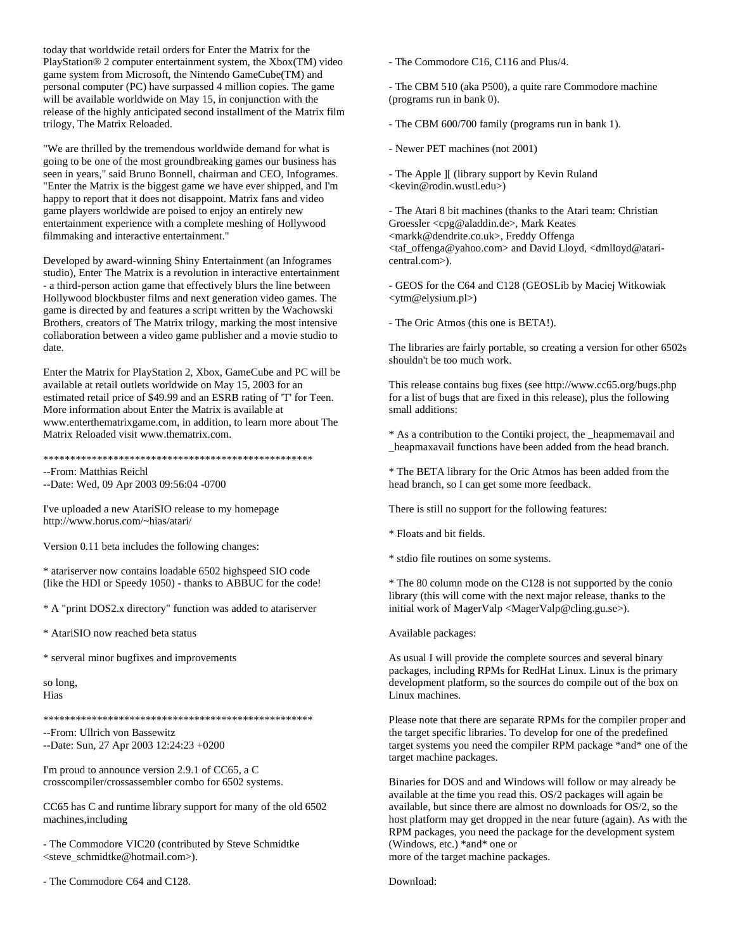today that worldwide retail orders for Enter the Matrix for the PlayStation® 2 computer entertainment system, the Xbox(TM) video game system from Microsoft, the Nintendo GameCube(TM) and personal computer (PC) have surpassed 4 million copies. The game will be available worldwide on May 15, in conjunction with the release of the highly anticipated second installment of the Matrix film trilogy, The Matrix Reloaded.

"We are thrilled by the tremendous worldwide demand for what is going to be one of the most groundbreaking games our business has seen in years," said Bruno Bonnell, chairman and CEO, Infogrames. "Enter the Matrix is the biggest game we have ever shipped, and I'm happy to report that it does not disappoint. Matrix fans and video game players worldwide are poised to enjoy an entirely new entertainment experience with a complete meshing of Hollywood filmmaking and interactive entertainment."

Developed by award-winning Shiny Entertainment (an Infogrames studio), Enter The Matrix is a revolution in interactive entertainment - a third-person action game that effectively blurs the line between Hollywood blockbuster films and next generation video games. The game is directed by and features a script written by the Wachowski Brothers, creators of The Matrix trilogy, marking the most intensive collaboration between a video game publisher and a movie studio to date.

Enter the Matrix for PlayStation 2, Xbox, GameCube and PC will be available at retail outlets worldwide on May 15, 2003 for an estimated retail price of \$49.99 and an ESRB rating of 'T' for Teen. More information about Enter the Matrix is available at www.enterthematrixgame.com, in addition, to learn more about The Matrix Reloaded visit www.thematrix.com.

\*\*\*\*\*\*\*\*\*\*\*\*\*\*\*\*\*\*\*\*\*\*\*\*\*\*\*\*\*\*\*\*\*\*\*\*\*\*\*\*\*\*\*\*\*\*\*\*\*\*

--From: Matthias Reichl

--Date: Wed, 09 Apr 2003 09:56:04 -0700

I've uploaded a new AtariSIO release to my homepage http://www.horus.com/~hias/atari/

Version 0.11 beta includes the following changes:

\* atariserver now contains loadable 6502 highspeed SIO code (like the HDI or Speedy 1050) - thanks to ABBUC for the code!

\* A "print DOS2.x directory" function was added to atariserver

\* AtariSIO now reached beta status

\* serveral minor bugfixes and improvements

so long, Hias

\*\*\*\*\*\*\*\*\*\*\*\*\*\*\*\*\*\*\*\*\*\*\*\*\*\*\*\*\*\*\*\*\*\*\*\*\*\*\*\*\*\*\*\*\*\*\*\*\*\*

--From: Ullrich von Bassewitz

--Date: Sun, 27 Apr 2003 12:24:23 +0200

I'm proud to announce version 2.9.1 of CC65, a C crosscompiler/crossassembler combo for 6502 systems.

CC65 has C and runtime library support for many of the old 6502 machines,including

- The Commodore VIC20 (contributed by Steve Schmidtke <steve\_schmidtke@hotmail.com>).

- The Commodore C64 and C128.

- The Commodore C16, C116 and Plus/4.

- The CBM 510 (aka P500), a quite rare Commodore machine (programs run in bank 0).

- The CBM 600/700 family (programs run in bank 1).

- Newer PET machines (not 2001)

- The Apple ][ (library support by Kevin Ruland <kevin@rodin.wustl.edu>)

- The Atari 8 bit machines (thanks to the Atari team: Christian Groessler <cpg@aladdin.de>, Mark Keates <markk@dendrite.co.uk>, Freddy Offenga <taf\_offenga@yahoo.com> and David Lloyd, <dmlloyd@ataricentral.com>).

- GEOS for the C64 and C128 (GEOSLib by Maciej Witkowiak <ytm@elysium.pl>)

- The Oric Atmos (this one is BETA!).

The libraries are fairly portable, so creating a version for other 6502s shouldn't be too much work.

This release contains bug fixes (see http://www.cc65.org/bugs.php for a list of bugs that are fixed in this release), plus the following small additions:

\* As a contribution to the Contiki project, the \_heapmemavail and \_heapmaxavail functions have been added from the head branch.

\* The BETA library for the Oric Atmos has been added from the head branch, so I can get some more feedback.

There is still no support for the following features:

\* Floats and bit fields.

\* stdio file routines on some systems.

\* The 80 column mode on the C128 is not supported by the conio library (this will come with the next major release, thanks to the initial work of MagerValp <MagerValp@cling.gu.se>).

Available packages:

As usual I will provide the complete sources and several binary packages, including RPMs for RedHat Linux. Linux is the primary development platform, so the sources do compile out of the box on Linux machines.

Please note that there are separate RPMs for the compiler proper and the target specific libraries. To develop for one of the predefined target systems you need the compiler RPM package \*and\* one of the target machine packages.

Binaries for DOS and and Windows will follow or may already be available at the time you read this. OS/2 packages will again be available, but since there are almost no downloads for OS/2, so the host platform may get dropped in the near future (again). As with the RPM packages, you need the package for the development system (Windows, etc.) \*and\* one or more of the target machine packages.

Download: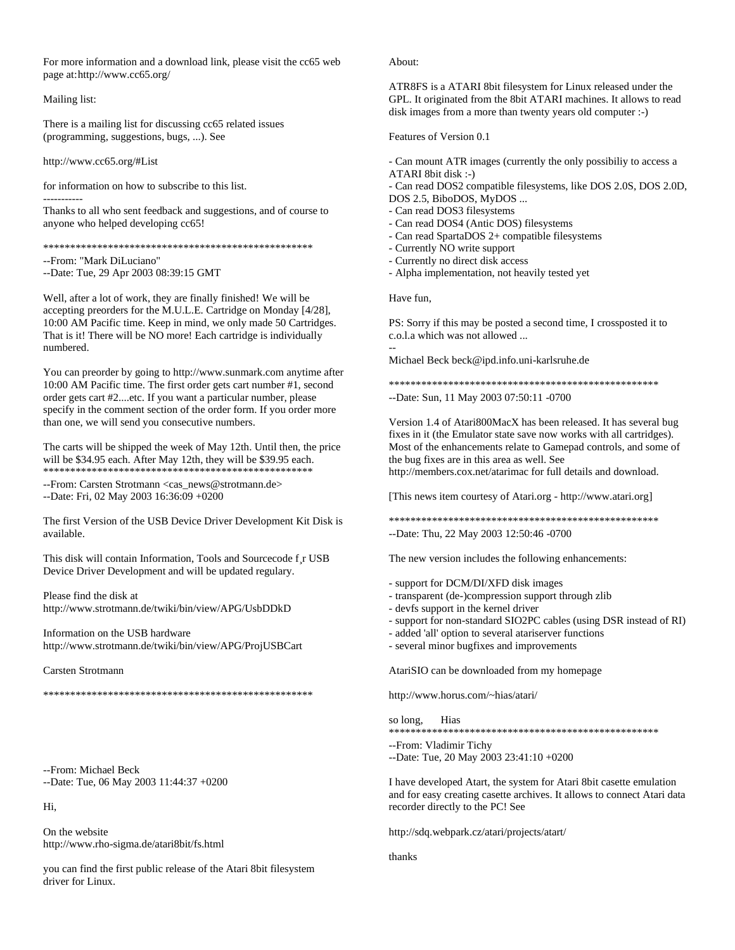For more information and a download link, please visit the cc65 web page at:http://www.cc65.org/

## Mailing list:

There is a mailing list for discussing cc65 related issues (programming, suggestions, bugs, ...). See

http://www.cc65.org/#List

for information on how to subscribe to this list. -----------

Thanks to all who sent feedback and suggestions, and of course to anyone who helped developing cc65!

\*\*\*\*\*\*\*\*\*\*\*\*\*\*\*\*\*\*\*\*\*\*\*\*\*\*\*\*\*\*\*\*\*\*\*\*\*\*\*\*\*\*\*\*\*\*\*\*\*\*

--From: "Mark DiLuciano"

--Date: Tue, 29 Apr 2003 08:39:15 GMT

Well, after a lot of work, they are finally finished! We will be accepting preorders for the M.U.L.E. Cartridge on Monday [4/28], 10:00 AM Pacific time. Keep in mind, we only made 50 Cartridges. That is it! There will be NO more! Each cartridge is individually numbered.

You can preorder by going to http://www.sunmark.com anytime after 10:00 AM Pacific time. The first order gets cart number #1, second order gets cart #2....etc. If you want a particular number, please specify in the comment section of the order form. If you order more than one, we will send you consecutive numbers.

The carts will be shipped the week of May 12th. Until then, the price will be \$34.95 each. After May 12th, they will be \$39.95 each. \*\*\*\*\*\*\*\*\*\*\*\*\*\*\*\*\*\*\*\*\*\*\*\*\*\*\*\*\*\*\*\*\*\*\*\*\*\*\*\*\*\*\*\*\*\*\*\*\*\*

--From: Carsten Strotmann <cas\_news@strotmann.de> --Date: Fri, 02 May 2003 16:36:09 +0200

The first Version of the USB Device Driver Development Kit Disk is available.

This disk will contain Information, Tools and Sourcecode f¸r USB Device Driver Development and will be updated regulary.

Please find the disk at http://www.strotmann.de/twiki/bin/view/APG/UsbDDkD

Information on the USB hardware http://www.strotmann.de/twiki/bin/view/APG/ProjUSBCart

Carsten Strotmann

\*\*\*\*\*\*\*\*\*\*\*\*\*\*\*\*\*\*\*\*\*\*\*\*\*\*\*\*\*\*\*\*\*\*\*\*\*\*\*\*\*\*\*\*\*\*\*\*\*\*

--From: Michael Beck --Date: Tue, 06 May 2003 11:44:37 +0200

Hi,

On the website http://www.rho-sigma.de/atari8bit/fs.html

you can find the first public release of the Atari 8bit filesystem driver for Linux.

About:

ATR8FS is a ATARI 8bit filesystem for Linux released under the GPL. It originated from the 8bit ATARI machines. It allows to read disk images from a more than twenty years old computer :-)

Features of Version 0.1

- Can mount ATR images (currently the only possibiliy to access a ATARI 8bit disk :-)

- Can read DOS2 compatible filesystems, like DOS 2.0S, DOS 2.0D, DOS 2.5, BiboDOS, MyDOS ...

- Can read DOS3 filesystems

- Can read DOS4 (Antic DOS) filesystems
- Can read SpartaDOS 2+ compatible filesystems
- Currently NO write support
- Currently no direct disk access
- Alpha implementation, not heavily tested yet

Have fun,

--

PS: Sorry if this may be posted a second time, I crossposted it to c.o.l.a which was not allowed ...

Michael Beck beck@ipd.info.uni-karlsruhe.de

\*\*\*\*\*\*\*\*\*\*\*\*\*\*\*\*\*\*\*\*\*\*\*\*\*\*\*\*\*\*\*\*\*\*\*\*\*\*\*\*\*\*\*\*\*\*\*\*\*\*

--Date: Sun, 11 May 2003 07:50:11 -0700

Version 1.4 of Atari800MacX has been released. It has several bug fixes in it (the Emulator state save now works with all cartridges). Most of the enhancements relate to Gamepad controls, and some of the bug fixes are in this area as well. See http://members.cox.net/atarimac for full details and download.

[This news item courtesy of Atari.org - http://www.atari.org]

\*\*\*\*\*\*\*\*\*\*\*\*\*\*\*\*\*\*\*\*\*\*\*\*\*\*\*\*\*\*\*\*\*\*\*\*\*\*\*\*\*\*\*\*\*\*\*\*\*\* --Date: Thu, 22 May 2003 12:50:46 -0700

The new version includes the following enhancements:

- support for DCM/DI/XFD disk images

- transparent (de-)compression support through zlib
- devfs support in the kernel driver
- support for non-standard SIO2PC cables (using DSR instead of RI)
- added 'all' option to several atariserver functions
- several minor bugfixes and improvements

AtariSIO can be downloaded from my homepage

http://www.horus.com/~hias/atari/

so long, Hias \*\*\*\*\*\*\*\*\*\*\*\*\*\*\*\*\*\*\*\*\*\*\*\*\*\*\*\*\*\*\*\*\*\*\*\*\*\*\*\*\*\*\*\*\*\*\*\*\*\*

--From: Vladimir Tichy

--Date: Tue, 20 May 2003 23:41:10 +0200

I have developed Atart, the system for Atari 8bit casette emulation and for easy creating casette archives. It allows to connect Atari data recorder directly to the PC! See

http://sdq.webpark.cz/atari/projects/atart/

thanks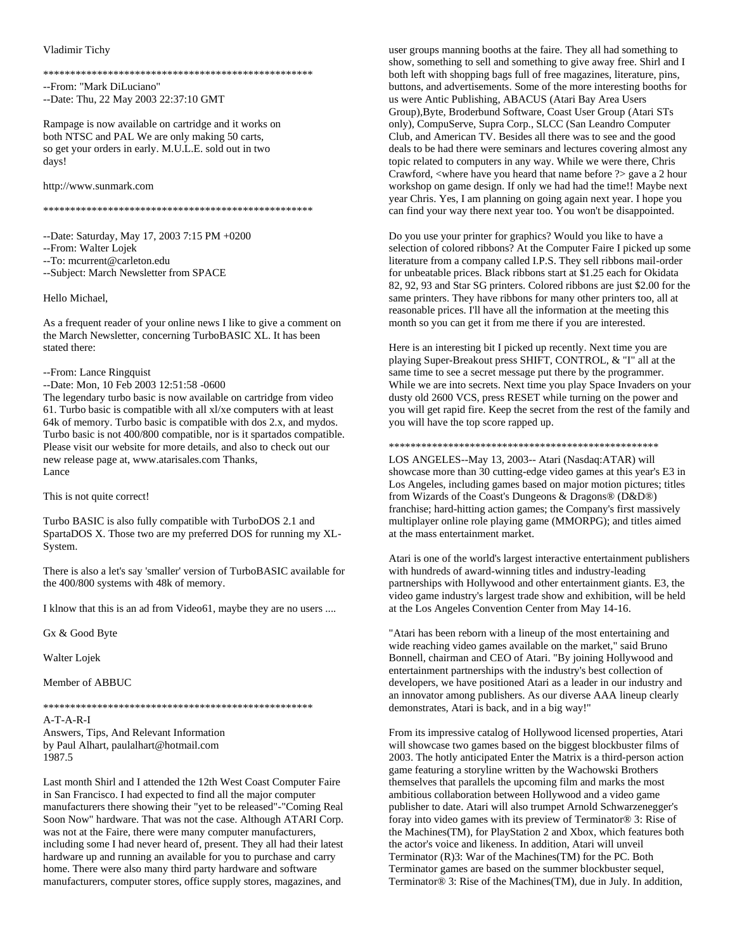## Vladimir Tichy

--From: "Mark DiLuciano" --Date: Thu, 22 May 2003 22:37:10 GMT

Rampage is now available on cartridge and it works on both NTSC and PAL We are only making 50 carts, so get your orders in early. M.U.L.E. sold out in two days!

http://www.sunmark.com

--Date: Saturday, May 17, 2003 7:15 PM +0200

--From: Walter Lojek

--To: mcurrent@carleton.edu

--Subject: March Newsletter from SPACE

Hello Michael,

As a frequent reader of your online news I like to give a comment on the March Newsletter, concerning TurboBASIC XL. It has been stated there:

## --From: Lance Ringquist

--Date: Mon, 10 Feb 2003 12:51:58 -0600

The legendary turbo basic is now available on cartridge from video 61. Turbo basic is compatible with all xl/xe computers with at least 64k of memory. Turbo basic is compatible with dos 2.x, and mydos. Turbo basic is not 400/800 compatible, nor is it spartados compatible. Please visit our website for more details, and also to check out our new release page at, www.atarisales.com Thanks, Lance

This is not quite correct!

Turbo BASIC is also fully compatible with TurboDOS 2.1 and SpartaDOS X. Those two are my preferred DOS for running my XL-System.

There is also a let's say 'smaller' version of TurboBASIC available for the 400/800 systems with 48k of memory.

I klnow that this is an ad from Video61, maybe they are no users ....

Gx & Good Byte

Walter Lojek

Member of ABBUC

 $A-T-A-R-I$ Answers, Tips, And Relevant Information by Paul Alhart, paulalhart@hotmail.com 1987.5

Last month Shirl and I attended the 12th West Coast Computer Faire in San Francisco. I had expected to find all the major computer manufacturers there showing their "yet to be released"-"Coming Real Soon Now" hardware. That was not the case. Although ATARI Corp. was not at the Faire, there were many computer manufacturers, including some I had never heard of, present. They all had their latest hardware up and running an available for you to purchase and carry home. There were also many third party hardware and software manufacturers, computer stores, office supply stores, magazines, and

user groups manning booths at the faire. They all had something to show, something to sell and something to give away free. Shirl and I both left with shopping bags full of free magazines, literature, pins, buttons, and advertisements. Some of the more interesting booths for us were Antic Publishing, ABACUS (Atari Bay Area Users Group), Byte, Broderbund Software, Coast User Group (Atari STs only), CompuServe, Supra Corp., SLCC (San Leandro Computer Club, and American TV. Besides all there was to see and the good deals to be had there were seminars and lectures covering almost any topic related to computers in any way. While we were there, Chris Crawford, <where have you heard that name before ?> gave a 2 hour workshop on game design. If only we had had the time!! Maybe next year Chris. Yes, I am planning on going again next year. I hope you can find your way there next year too. You won't be disappointed.

Do you use your printer for graphics? Would you like to have a selection of colored ribbons? At the Computer Faire I picked up some literature from a company called I.P.S. They sell ribbons mail-order for unbeatable prices. Black ribbons start at \$1.25 each for Okidata 82, 92, 93 and Star SG printers. Colored ribbons are just \$2.00 for the same printers. They have ribbons for many other printers too, all at reasonable prices. I'll have all the information at the meeting this month so you can get it from me there if you are interested.

Here is an interesting bit I picked up recently. Next time you are playing Super-Breakout press SHIFT, CONTROL, & "I" all at the same time to see a secret message put there by the programmer. While we are into secrets. Next time you play Space Invaders on your dusty old 2600 VCS, press RESET while turning on the power and you will get rapid fire. Keep the secret from the rest of the family and you will have the top score rapped up.

LOS ANGELES--May 13, 2003-- Atari (Nasdaq:ATAR) will showcase more than 30 cutting-edge video games at this year's E3 in Los Angeles, including games based on major motion pictures; titles from Wizards of the Coast's Dungeons & Dragons® (D&D®) franchise; hard-hitting action games; the Company's first massively multiplayer online role playing game (MMORPG); and titles aimed at the mass entertainment market.

Atari is one of the world's largest interactive entertainment publishers with hundreds of award-winning titles and industry-leading partnerships with Hollywood and other entertainment giants. E3, the video game industry's largest trade show and exhibition, will be held at the Los Angeles Convention Center from May 14-16.

"Atari has been reborn with a lineup of the most entertaining and wide reaching video games available on the market," said Bruno Bonnell, chairman and CEO of Atari. "By joining Hollywood and entertainment partnerships with the industry's best collection of developers, we have positioned Atari as a leader in our industry and an innovator among publishers. As our diverse AAA lineup clearly demonstrates, Atari is back, and in a big way!"

From its impressive catalog of Hollywood licensed properties, Atari will showcase two games based on the biggest blockbuster films of 2003. The hotly anticipated Enter the Matrix is a third-person action game featuring a storyline written by the Wachowski Brothers themselves that parallels the upcoming film and marks the most ambitious collaboration between Hollywood and a video game publisher to date. Atari will also trumpet Arnold Schwarzenegger's foray into video games with its preview of Terminator® 3: Rise of the Machines(TM), for PlayStation 2 and Xbox, which features both the actor's voice and likeness. In addition, Atari will unveil Terminator (R)3: War of the Machines(TM) for the PC. Both Terminator games are based on the summer blockbuster sequel, Terminator® 3: Rise of the Machines(TM), due in July. In addition,